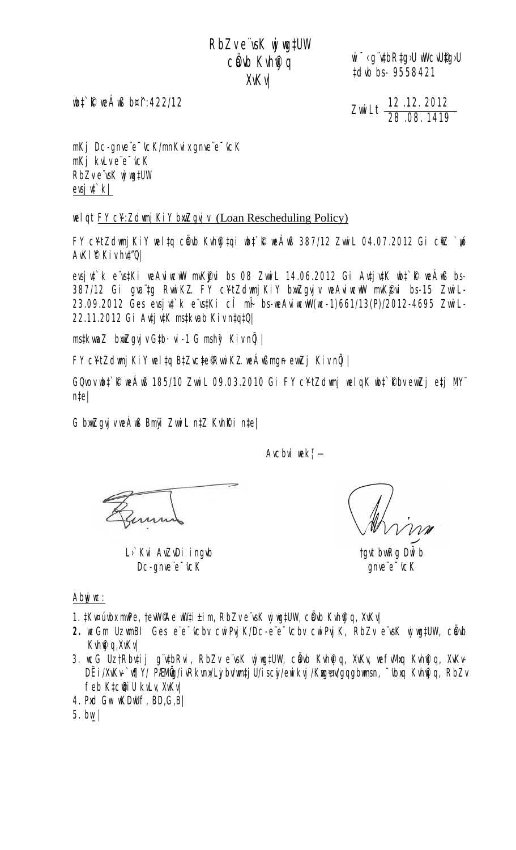# RbZv e vsK wj wg‡UW chwb Kvhigq XvKv|

wi<sup>-</sup> g vtbRtg>U wWcvUfg>U ‡dvb bs- 9558421

wht`R weÁwß b¤^i:422/12  $\frac{12 \cdot 12}{200}$   $\frac{2012}{200}$ 28 .08. 1419

mKj Dc-gnve¨e¯'vcK/mnKvix gnve¨e¯'vcK mKj kvLv e¨e¯'vcK RbZv e vsK wj wg‡UW  $e$ vsj $\psi$ `k|

welqt FY cY: Zdwnj KiY bxwZqvjv (Loan Rescheduling Policy)

 $FY$  c $Y$ tZdwnj $KiY$  wel $‡q$  cằub Kuh $@$ ‡qi wb $‡`ℝ$  weÁw $ß$  387/12 ZwwiL 04.07.2012 Gi c $\mathbb{R}`$  yó AvKl©Y Kiv hv‡"Q|

evsjv‡`k e vs‡Ki weAviwcwW mvK $\mathbb P$ vi bs 08 ZwwiL 14.06.2012 Gi Av‡jv‡K wb‡`R weÁwß bs-387/12 Gi gva¨tg RwwiKZ FY c¥tZdwnjKiY bxwZgvjv weAviwcwW mvKflvi bs-15 ZwwiL-23.09.2012 Ges evsjv‡`k e vstKi cÎ mi bs-weAviwcwW(wc-1)661/13(P)/2012-4695 ZwwiL-22.11.2012 Gi Av‡jv‡K ms‡kvab Kiv n‡q‡Q|

ms‡kvwaZ bxwZgvjv G‡b·vi-1 G mshy³ Kiv nÕj|

FY C¥tZdwnj KiY wel‡q B‡Zvc‡e®RwwiKZ weÁwßmga evwZj Kiv nŐj |

GQvov wb#`R weÁwß 185/10 ZwwiL 09.03.2010 Gi FY c¥tZdwnj welqK wb#`Rbv evwZj e#j MY¨ n‡e|

G bxwZgvj v weÁwß Bmÿi ZwwiL n‡Z KvhRi n‡e|

Avcbvi wek $^{\prime}$  –

L›`Kvi AvZvDi ingvb Dc-gnveïe<sup>-</sup>vcK

†gvt bvwRg DwÏb gnve¨e¯'vcK

 $\Delta$ byj wc:

- 1. ‡Kv¤úvbx mwPe, †evW© Ae wW‡i±im, RbZv e vsK wj wg‡UW, cÖavb Kvh®q, XvKv|
- 2. wcGm Uz wmBI Ges e<sup>re-</sup>vcbv cwiPvj K/Dc-e<sup>re-</sup>vcbv cwiPvj K, RbZv e<sup>r</sup>vsK wj wg‡UW, cwob  $Kv$ h $\theta$  q,XvKv|
- 3. wcG Uz †Rbv‡ij gïv‡bRvi, RbZv eïvsK wjwg‡UW, c碰vb Kvhiqq, XvKv, wefvMxq Kvhiqq, XvKv-DËi/XvKv-`w¶Y/ PÆMÖg/ivRkvnx/Lyjbv/wm‡jU/iscyi/ewikvj/Kugङu/gqgbwmsn, <sup>-</sup>vbxq Kvhiqq, RbZv feb K‡c@#iU kvLv, XvKv|
- 4. Pxd Gw·wKDwUf, BD,G,B|
- 5. bw\_|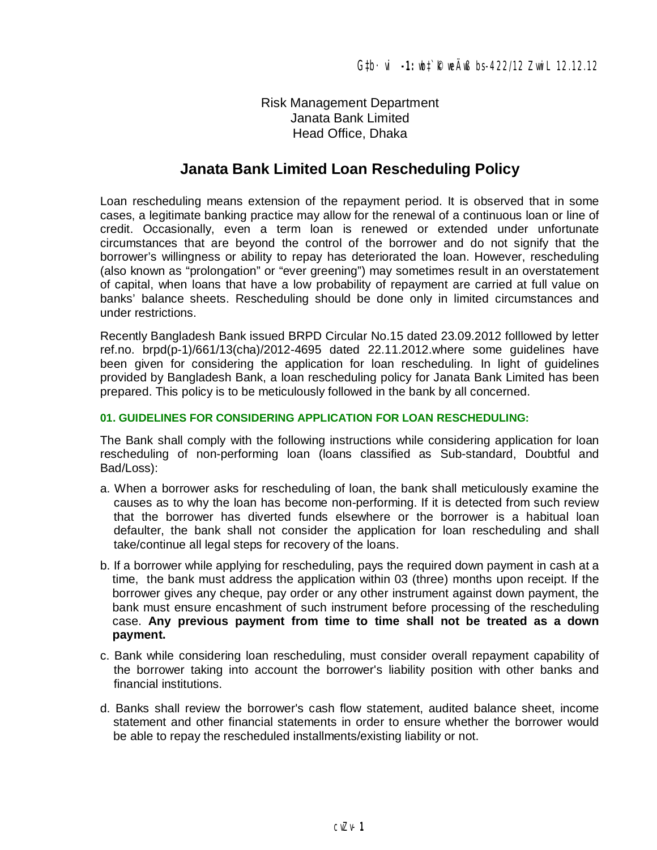## Risk Management Department Janata Bank Limited Head Office, Dhaka

## **Janata Bank Limited Loan Rescheduling Policy**

Loan rescheduling means extension of the repayment period. It is observed that in some cases, a legitimate banking practice may allow for the renewal of a continuous loan or line of credit. Occasionally, even a term loan is renewed or extended under unfortunate circumstances that are beyond the control of the borrower and do not signify that the borrower's willingness or ability to repay has deteriorated the loan. However, rescheduling (also known as "prolongation" or "ever greening") may sometimes result in an overstatement of capital, when loans that have a low probability of repayment are carried at full value on banks' balance sheets. Rescheduling should be done only in limited circumstances and under restrictions.

Recently Bangladesh Bank issued BRPD Circular No.15 dated 23.09.2012 folllowed by letter ref.no. brpd(p-1)/661/13(cha)/2012-4695 dated 22.11.2012.where some guidelines have been given for considering the application for loan rescheduling. In light of guidelines provided by Bangladesh Bank, a loan rescheduling policy for Janata Bank Limited has been prepared. This policy is to be meticulously followed in the bank by all concerned.

## **01. GUIDELINES FOR CONSIDERING APPLICATION FOR LOAN RESCHEDULING:**

The Bank shall comply with the following instructions while considering application for loan rescheduling of non-performing loan (loans classified as Sub-standard, Doubtful and Bad/Loss):

- a. When a borrower asks for rescheduling of loan, the bank shall meticulously examine the causes as to why the loan has become non-performing. If it is detected from such review that the borrower has diverted funds elsewhere or the borrower is a habitual loan defaulter, the bank shall not consider the application for loan rescheduling and shall take/continue all legal steps for recovery of the loans.
- b. If a borrower while applying for rescheduling, pays the required down payment in cash at a time, the bank must address the application within 03 (three) months upon receipt. If the borrower gives any cheque, pay order or any other instrument against down payment, the bank must ensure encashment of such instrument before processing of the rescheduling case. **Any previous payment from time to time shall not be treated as a down payment.**
- c. Bank while considering loan rescheduling, must consider overall repayment capability of the borrower taking into account the borrower's liability position with other banks and financial institutions.
- d. Banks shall review the borrower's cash flow statement, audited balance sheet, income statement and other financial statements in order to ensure whether the borrower would be able to repay the rescheduled installments/existing liability or not.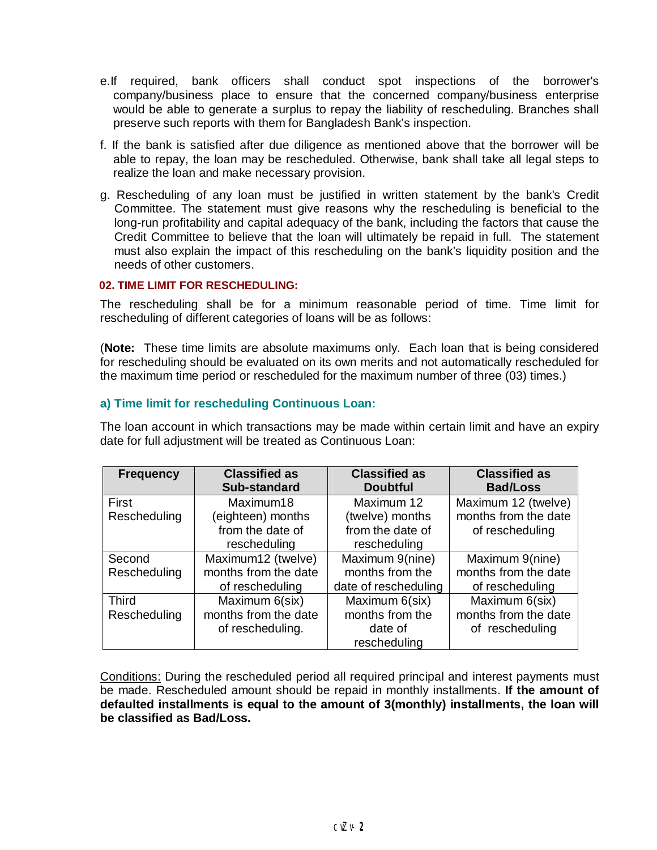- e.If required, bank officers shall conduct spot inspections of the borrower's company/business place to ensure that the concerned company/business enterprise would be able to generate a surplus to repay the liability of rescheduling. Branches shall preserve such reports with them for Bangladesh Bank's inspection.
- f. If the bank is satisfied after due diligence as mentioned above that the borrower will be able to repay, the loan may be rescheduled. Otherwise, bank shall take all legal steps to realize the loan and make necessary provision.
- g. Rescheduling of any loan must be justified in written statement by the bank's Credit Committee. The statement must give reasons why the rescheduling is beneficial to the long-run profitability and capital adequacy of the bank, including the factors that cause the Credit Committee to believe that the loan will ultimately be repaid in full. The statement must also explain the impact of this rescheduling on the bank's liquidity position and the needs of other customers.

#### **02. TIME LIMIT FOR RESCHEDULING:**

The rescheduling shall be for a minimum reasonable period of time. Time limit for rescheduling of different categories of loans will be as follows:

(**Note:** These time limits are absolute maximums only. Each loan that is being considered for rescheduling should be evaluated on its own merits and not automatically rescheduled for the maximum time period or rescheduled for the maximum number of three (03) times.)

## **a) Time limit for rescheduling Continuous Loan:**

The loan account in which transactions may be made within certain limit and have an expiry date for full adjustment will be treated as Continuous Loan:

| <b>Frequency</b> | <b>Classified as</b><br><b>Sub-standard</b> | <b>Classified as</b><br><b>Doubtful</b> | <b>Classified as</b><br><b>Bad/Loss</b> |
|------------------|---------------------------------------------|-----------------------------------------|-----------------------------------------|
| First            | Maximum18                                   | Maximum 12                              | Maximum 12 (twelve)                     |
| Rescheduling     | (eighteen) months                           | (twelve) months                         | months from the date                    |
|                  | from the date of                            | from the date of                        | of rescheduling                         |
|                  | rescheduling                                | rescheduling                            |                                         |
| Second           | Maximum12 (twelve)                          | Maximum 9(nine)                         | Maximum 9(nine)                         |
| Rescheduling     | months from the date                        | months from the                         | months from the date                    |
|                  | of rescheduling                             | date of rescheduling                    | of rescheduling                         |
| <b>Third</b>     | Maximum 6(six)                              | Maximum 6(six)                          | Maximum 6(six)                          |
| Rescheduling     | months from the date                        | months from the                         | months from the date                    |
|                  | of rescheduling.                            | date of                                 | of rescheduling                         |
|                  |                                             | rescheduling                            |                                         |

Conditions: During the rescheduled period all required principal and interest payments must be made. Rescheduled amount should be repaid in monthly installments. **If the amount of defaulted installments is equal to the amount of 3(monthly) installments, the loan will be classified as Bad/Loss.**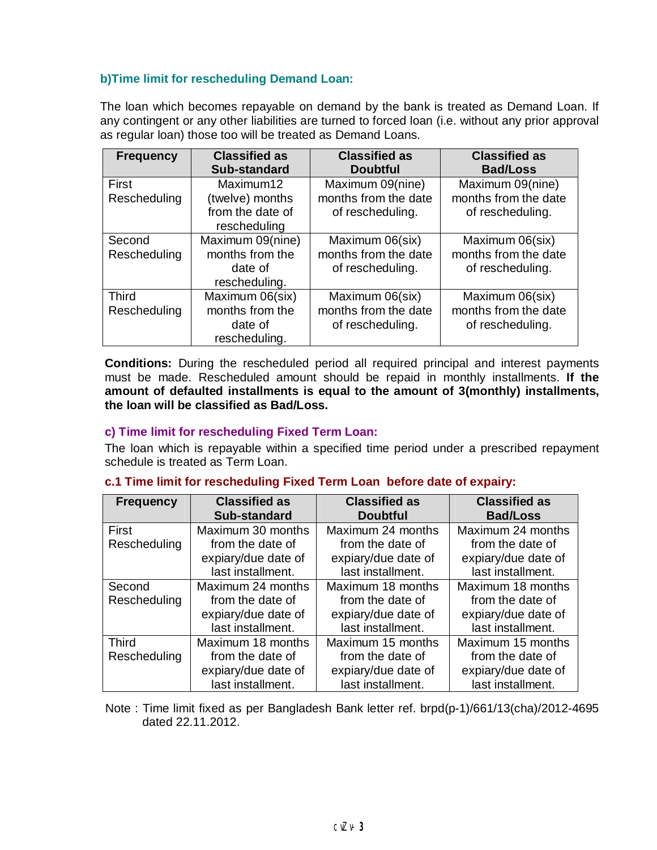## **b)Time limit for rescheduling Demand Loan:**

The loan which becomes repayable on demand by the bank is treated as Demand Loan. If any contingent or any other liabilities are turned to forced loan (i.e. without any prior approval as regular loan) those too will be treated as Demand Loans.

| <b>Frequency</b> | <b>Classified as</b><br><b>Sub-standard</b> | <b>Classified as</b><br><b>Doubtful</b> | <b>Classified as</b><br><b>Bad/Loss</b> |
|------------------|---------------------------------------------|-----------------------------------------|-----------------------------------------|
| First            | Maximum12                                   | Maximum 09(nine)                        | Maximum 09(nine)                        |
| Rescheduling     | (twelve) months                             | months from the date                    | months from the date                    |
|                  | from the date of<br>rescheduling            | of rescheduling.                        | of rescheduling.                        |
| Second           | Maximum 09(nine)                            | Maximum 06(six)                         | Maximum 06(six)                         |
| Rescheduling     | months from the                             | months from the date                    | months from the date                    |
|                  | date of                                     | of rescheduling.                        | of rescheduling.                        |
|                  | rescheduling.                               |                                         |                                         |
| <b>Third</b>     | Maximum 06(six)                             | Maximum 06(six)                         | Maximum 06(six)                         |
| Rescheduling     | months from the                             | months from the date                    | months from the date                    |
|                  | date of                                     | of rescheduling.                        | of rescheduling.                        |
|                  | rescheduling.                               |                                         |                                         |

**Conditions:** During the rescheduled period all required principal and interest payments must be made. Rescheduled amount should be repaid in monthly installments. **If the amount of defaulted installments is equal to the amount of 3(monthly) installments, the loan will be classified as Bad/Loss.** 

## **c) Time limit for rescheduling Fixed Term Loan:**

The loan which is repayable within a specified time period under a prescribed repayment schedule is treated as Term Loan.

#### **c.1 Time limit for rescheduling Fixed Term Loan before date of expairy:**

| <b>Frequency</b> | <b>Classified as</b><br><b>Sub-standard</b> | <b>Classified as</b><br><b>Doubtful</b> | <b>Classified as</b><br><b>Bad/Loss</b> |
|------------------|---------------------------------------------|-----------------------------------------|-----------------------------------------|
| First            | Maximum 30 months                           | Maximum 24 months                       | Maximum 24 months                       |
| Rescheduling     | from the date of                            | from the date of                        | from the date of                        |
|                  | expiary/due date of                         | expiary/due date of                     | expiary/due date of                     |
|                  | last installment.                           | last installment.                       | last installment.                       |
| Second           | Maximum 24 months                           | Maximum 18 months                       | Maximum 18 months                       |
| Rescheduling     | from the date of                            | from the date of                        | from the date of                        |
|                  | expiary/due date of                         | expiary/due date of                     | expiary/due date of                     |
|                  | last installment.                           | last installment.                       | last installment.                       |
| <b>Third</b>     | Maximum 18 months                           | Maximum 15 months                       | Maximum 15 months                       |
| Rescheduling     | from the date of                            | from the date of                        | from the date of                        |
|                  | expiary/due date of                         | expiary/due date of                     | expiary/due date of                     |
|                  | last installment.                           | last installment.                       | last installment.                       |

Note : Time limit fixed as per Bangladesh Bank letter ref. brpd(p-1)/661/13(cha)/2012-4695 dated 22.11.2012.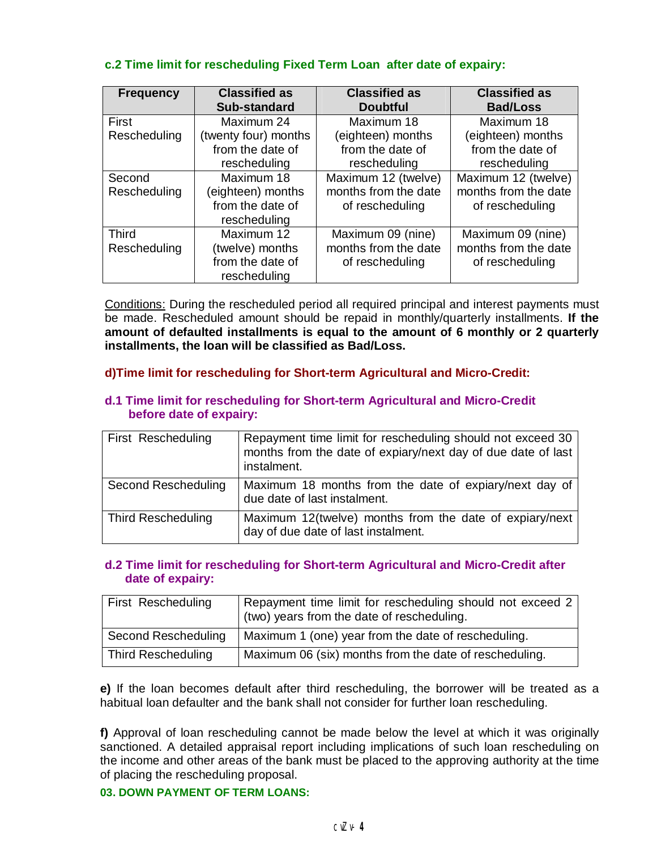## **c.2 Time limit for rescheduling Fixed Term Loan after date of expairy:**

| <b>Frequency</b> | <b>Classified as</b><br><b>Sub-standard</b> | <b>Classified as</b><br><b>Doubtful</b> | <b>Classified as</b><br><b>Bad/Loss</b> |
|------------------|---------------------------------------------|-----------------------------------------|-----------------------------------------|
| First            | Maximum 24                                  | Maximum 18                              | Maximum 18                              |
| Rescheduling     | (twenty four) months                        | (eighteen) months                       | (eighteen) months                       |
|                  | from the date of                            | from the date of                        | from the date of                        |
|                  | rescheduling                                | rescheduling                            | rescheduling                            |
| Second           | Maximum 18                                  | Maximum 12 (twelve)                     | Maximum 12 (twelve)                     |
| Rescheduling     | (eighteen) months                           | months from the date                    | months from the date                    |
|                  | from the date of                            | of rescheduling                         | of rescheduling                         |
|                  | rescheduling                                |                                         |                                         |
| Third            | Maximum 12                                  | Maximum 09 (nine)                       | Maximum 09 (nine)                       |
| Rescheduling     | (twelve) months                             | months from the date                    | months from the date                    |
|                  | from the date of                            | of rescheduling                         | of rescheduling                         |
|                  | rescheduling                                |                                         |                                         |

Conditions: During the rescheduled period all required principal and interest payments must be made. Rescheduled amount should be repaid in monthly/quarterly installments. **If the amount of defaulted installments is equal to the amount of 6 monthly or 2 quarterly installments, the loan will be classified as Bad/Loss.** 

## **d)Time limit for rescheduling for Short-term Agricultural and Micro-Credit:**

## **d.1 Time limit for rescheduling for Short-term Agricultural and Micro-Credit before date of expairy:**

| First Rescheduling        | Repayment time limit for rescheduling should not exceed 30<br>months from the date of expiary/next day of due date of last<br>instalment. |
|---------------------------|-------------------------------------------------------------------------------------------------------------------------------------------|
| Second Rescheduling       | Maximum 18 months from the date of expiary/next day of<br>due date of last instalment.                                                    |
| <b>Third Rescheduling</b> | Maximum 12(twelve) months from the date of expiary/next<br>day of due date of last instalment.                                            |

## **d.2 Time limit for rescheduling for Short-term Agricultural and Micro-Credit after date of expairy:**

| First Rescheduling         | Repayment time limit for rescheduling should not exceed 2<br>$\frac{1}{2}$ (two) years from the date of rescheduling. |
|----------------------------|-----------------------------------------------------------------------------------------------------------------------|
| <b>Second Rescheduling</b> | Maximum 1 (one) year from the date of rescheduling.                                                                   |
| <b>Third Rescheduling</b>  | Maximum 06 (six) months from the date of rescheduling.                                                                |

**e)** If the loan becomes default after third rescheduling, the borrower will be treated as a habitual loan defaulter and the bank shall not consider for further loan rescheduling.

**f)** Approval of loan rescheduling cannot be made below the level at which it was originally sanctioned. A detailed appraisal report including implications of such loan rescheduling on the income and other areas of the bank must be placed to the approving authority at the time of placing the rescheduling proposal.

## **03. DOWN PAYMENT OF TERM LOANS:**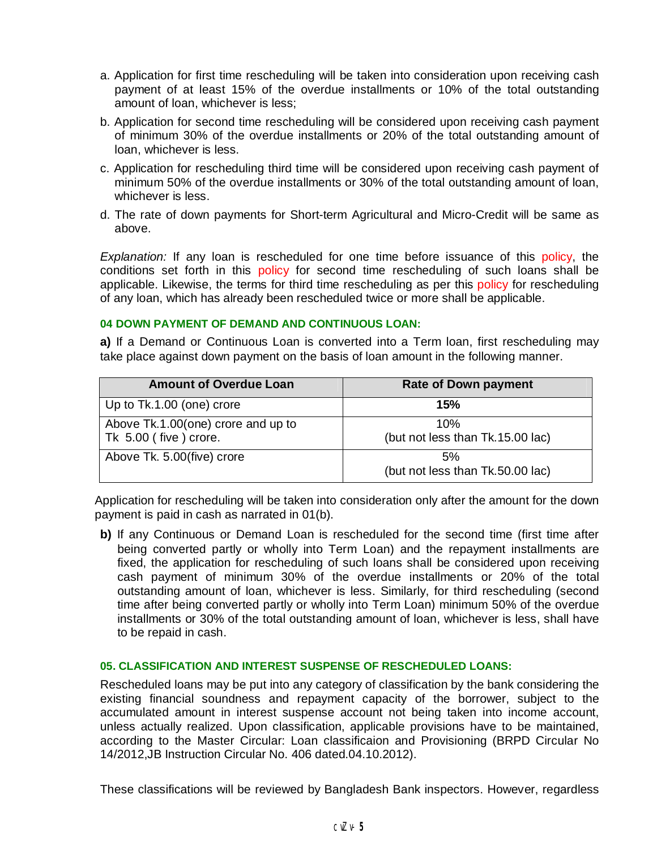- a. Application for first time rescheduling will be taken into consideration upon receiving cash payment of at least 15% of the overdue installments or 10% of the total outstanding amount of loan, whichever is less;
- b. Application for second time rescheduling will be considered upon receiving cash payment of minimum 30% of the overdue installments or 20% of the total outstanding amount of loan, whichever is less.
- c. Application for rescheduling third time will be considered upon receiving cash payment of minimum 50% of the overdue installments or 30% of the total outstanding amount of loan, whichever is less.
- d. The rate of down payments for Short-term Agricultural and Micro-Credit will be same as above.

*Explanation:* If any loan is rescheduled for one time before issuance of this policy, the conditions set forth in this policy for second time rescheduling of such loans shall be applicable. Likewise, the terms for third time rescheduling as per this policy for rescheduling of any loan, which has already been rescheduled twice or more shall be applicable.

#### **04 DOWN PAYMENT OF DEMAND AND CONTINUOUS LOAN:**

**a)** If a Demand or Continuous Loan is converted into a Term loan, first rescheduling may take place against down payment on the basis of loan amount in the following manner.

| <b>Amount of Overdue Loan</b>                               | <b>Rate of Down payment</b>             |
|-------------------------------------------------------------|-----------------------------------------|
| Up to Tk.1.00 (one) crore                                   | 15%                                     |
| Above Tk.1.00(one) crore and up to<br>Tk 5.00 (five) crore. | 10%<br>(but not less than Tk.15.00 lac) |
| Above Tk. 5.00(five) crore                                  | 5%<br>(but not less than Tk.50.00 lac)  |

Application for rescheduling will be taken into consideration only after the amount for the down payment is paid in cash as narrated in 01(b).

**b)** If any Continuous or Demand Loan is rescheduled for the second time (first time after being converted partly or wholly into Term Loan) and the repayment installments are fixed, the application for rescheduling of such loans shall be considered upon receiving cash payment of minimum 30% of the overdue installments or 20% of the total outstanding amount of loan, whichever is less. Similarly, for third rescheduling (second time after being converted partly or wholly into Term Loan) minimum 50% of the overdue installments or 30% of the total outstanding amount of loan, whichever is less, shall have to be repaid in cash.

#### **05. CLASSIFICATION AND INTEREST SUSPENSE OF RESCHEDULED LOANS:**

Rescheduled loans may be put into any category of classification by the bank considering the existing financial soundness and repayment capacity of the borrower, subject to the accumulated amount in interest suspense account not being taken into income account, unless actually realized. Upon classification, applicable provisions have to be maintained, according to the Master Circular: Loan classificaion and Provisioning (BRPD Circular No 14/2012,JB Instruction Circular No. 406 dated.04.10.2012).

These classifications will be reviewed by Bangladesh Bank inspectors. However, regardless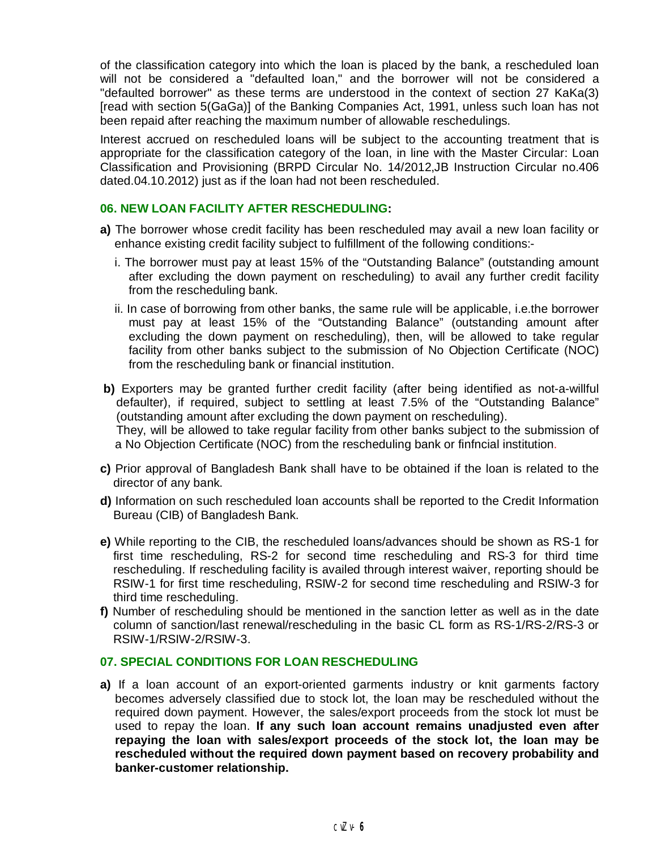of the classification category into which the loan is placed by the bank, a rescheduled loan will not be considered a "defaulted loan," and the borrower will not be considered a "defaulted borrower" as these terms are understood in the context of section 27 KaKa(3) [read with section 5(GaGa)] of the Banking Companies Act, 1991, unless such loan has not been repaid after reaching the maximum number of allowable reschedulings.

Interest accrued on rescheduled loans will be subject to the accounting treatment that is appropriate for the classification category of the loan, in line with the Master Circular: Loan Classification and Provisioning (BRPD Circular No. 14/2012,JB Instruction Circular no.406 dated.04.10.2012) just as if the loan had not been rescheduled.

## **06. NEW LOAN FACILITY AFTER RESCHEDULING:**

- **a)** The borrower whose credit facility has been rescheduled may avail a new loan facility or enhance existing credit facility subject to fulfillment of the following conditions:
	- i. The borrower must pay at least 15% of the "Outstanding Balance" (outstanding amount after excluding the down payment on rescheduling) to avail any further credit facility from the rescheduling bank.
	- ii. In case of borrowing from other banks, the same rule will be applicable, i.e.the borrower must pay at least 15% of the "Outstanding Balance" (outstanding amount after excluding the down payment on rescheduling), then, will be allowed to take regular facility from other banks subject to the submission of No Objection Certificate (NOC) from the rescheduling bank or financial institution.
- **b)** Exporters may be granted further credit facility (after being identified as not-a-willful defaulter), if required, subject to settling at least 7.5% of the "Outstanding Balance" (outstanding amount after excluding the down payment on rescheduling). They, will be allowed to take regular facility from other banks subject to the submission of a No Objection Certificate (NOC) from the rescheduling bank or finfncial institution.
- **c)** Prior approval of Bangladesh Bank shall have to be obtained if the loan is related to the director of any bank.
- **d)** Information on such rescheduled loan accounts shall be reported to the Credit Information Bureau (CIB) of Bangladesh Bank.
- **e)** While reporting to the CIB, the rescheduled loans/advances should be shown as RS-1 for first time rescheduling, RS-2 for second time rescheduling and RS-3 for third time rescheduling. If rescheduling facility is availed through interest waiver, reporting should be RSIW-1 for first time rescheduling, RSIW-2 for second time rescheduling and RSIW-3 for third time rescheduling.
- **f)** Number of rescheduling should be mentioned in the sanction letter as well as in the date column of sanction/last renewal/rescheduling in the basic CL form as RS-1/RS-2/RS-3 or RSIW-1/RSIW-2/RSIW-3.

#### **07. SPECIAL CONDITIONS FOR LOAN RESCHEDULING**

**a)** If a loan account of an export-oriented garments industry or knit garments factory becomes adversely classified due to stock lot, the loan may be rescheduled without the required down payment. However, the sales/export proceeds from the stock lot must be used to repay the loan. **If any such loan account remains unadjusted even after repaying the loan with sales/export proceeds of the stock lot, the loan may be rescheduled without the required down payment based on recovery probability and banker-customer relationship.**